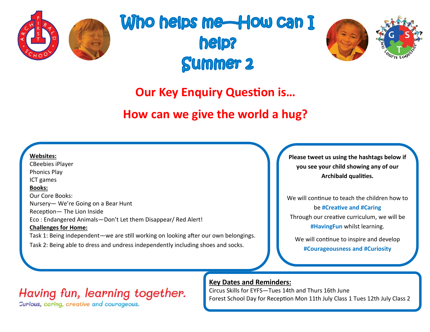

# Who helps me—How can I **help? Summer 2**



### **Our Key Enquiry Question is…**

### **How can we give the world a hug?**

**Websites:** CBeebies iPlayer Phonics Play ICT games **Books:** Our Core Books: Nursery— We're Going on a Bear Hunt Reception— The Lion Inside Eco : Endangered Animals—Don't Let them Disappear/ Red Alert! **Challenges for Home:** Task 1: Being independent—we are still working on looking after our own belongings. Task 2: Being able to dress and undress independently including shoes and socks.

**Please tweet us using the hashtags below if you see your child showing any of our Archibald qualities.**

We will continue to teach the children how to be **#Creative and #Caring** Through our creative curriculum, we will be **#HavingFun** whilst learning.

We will continue to inspire and develop **#Courageousness and #Curiosity**

### Having fun, learning together.

Curious, caring, creative and courageous.

#### **Key Dates and Reminders:**

Circus Skills for EYFS—Tues 14th and Thurs 16th June Forest School Day for Reception Mon 11th July Class 1 Tues 12th July Class 2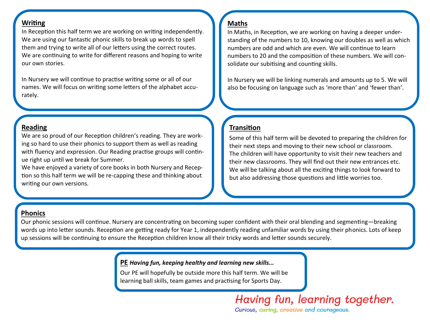#### **Writing**

In Reception this half term we are working on writing independently. We are using our fantastic phonic skills to break up words to spell them and trying to write all of our letters using the correct routes. We are continuing to write for different reasons and hoping to write our own stories.

In Nursery we will continue to practise writing some or all of our names. We will focus on writing some letters of the alphabet accurately.

#### **Reading**

We are so proud of our Reception children's reading. They are working so hard to use their phonics to support them as well as reading with fluency and expression. Our Reading practise groups will continue right up until we break for Summer.

We have enjoyed a variety of core books in both Nursery and Reception so this half term we will be re-capping these and thinking about writing our own versions.

#### **Maths**

In Maths, in Reception, we are working on having a deeper understanding of the numbers to 10, knowing our doubles as well as which numbers are odd and which are even. We will continue to learn numbers to 20 and the composition of these numbers. We will consolidate our subitising and counting skills.

In Nursery we will be linking numerals and amounts up to 5. We will also be focusing on language such as 'more than' and 'fewer than'.

#### **Transition**

Some of this half term will be devoted to preparing the children for their next steps and moving to their new school or classroom. The children will have opportunity to visit their new teachers and their new classrooms. They will find out their new entrances etc. We will be talking about all the exciting things to look forward to but also addressing those questions and little worries too.

#### **Phonics**

Our phonic sessions will continue. Nursery are concentrating on becoming super confident with their oral blending and segmenting—breaking words up into letter sounds. Reception are getting ready for Year 1, independently reading unfamiliar words by using their phonics. Lots of keep up sessions will be continuing to ensure the Reception children know all their tricky words and letter sounds securely.

#### **PE** *Having fun, keeping healthy and learning new skills...*

Our PE will hopefully be outside more this half term. We will be learning ball skills, team games and practising for Sports Day.

> Having fun, learning together. Curious, caring, creative and courageous.